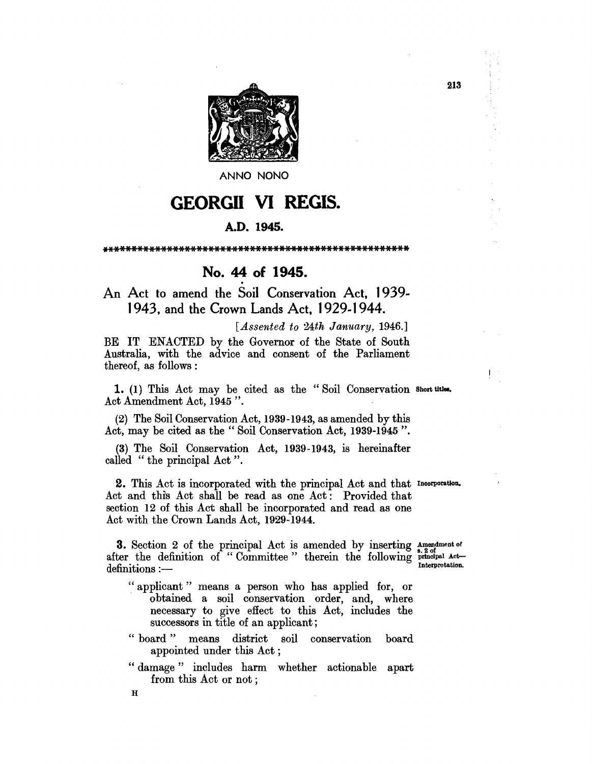

**ANNO NONO** 

# GEORGII VI REGIS.

## A.D. 1945.

\*\*\*\*\*\*\*\*\*\*\*\*\*\*\*\*\*\*\*\*\*\*\*\*\*\*\*\*\*\*\*\*\*\*\*\*\*\*\*\*\*\*\*\*\*\*\*\*\*\*\*\*

No. 44 of 1945.<br>An Act to amend the Soil Conservation Act, 1939-1943, and the Crown Lands Act, 1929-1944.

*[Assented to 24th January, 1946.]* 

BE IT ENACTED by the Governor of the State of South Australia, with the advice and consent of the Parliament thereof, as follows :

1. (1) This Act may be cited as the "Soil Conservation Short titles. Act Amendment Act, 1945 ".

(2) The Soil Conservation Act, 1939-1943, as amended by this Act, may be cited as the" Soil Conservation Act, 1939-1945 ".

(3) The Soil Conservation Act, 1939-1943, is hereinafter called "the principal Act".

2. This Act is incorporated with the principal Act and that Incorporation. Act and this Act shall be read as one Act: Provided that section 12 of this Act shall be incorporated and read as one Act with the Crown Lands Act, 1929-1944.

**3.** Section 2 of the principal Act is amended by inserting  $\Lambda$  are not of after the definition of "Committee" therein the following  $\frac{\text{s.2 or}}{\text{Interpretation}}$  Act definitions :-

 $\mathbf{1}$ 

- " applicant" means a person who has applied for, or obtained a soil conservation order, and, where necessary to give effect to this Act, includes the successors in title of an applicant;
- " board" means district soil conservation board appointed under this Act;
- " damage" includes harm whether actionable apart from this Act or not;

 $\bf H$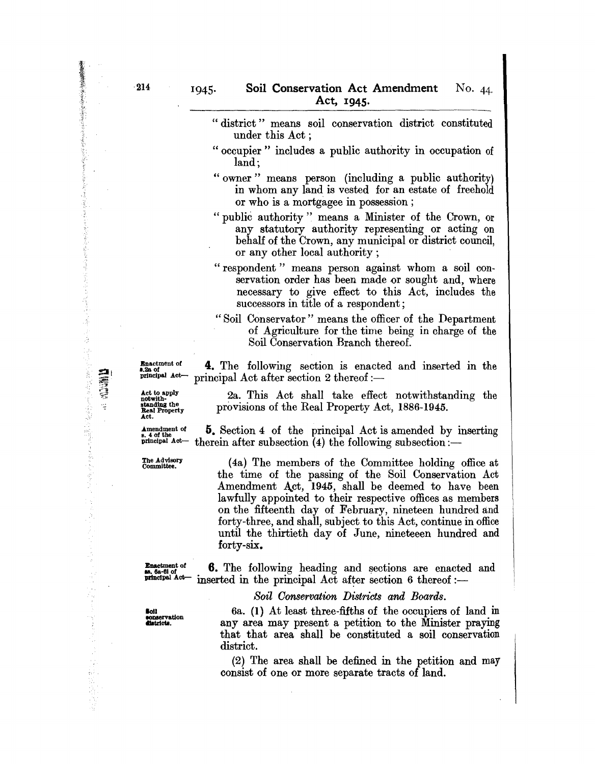- "district" means soil conservation district constituted under this Act ;
- " occupier" includes a public authority in occupation of land;
- " owner" means person (including a public authority) in whom any land is vested for an estate of freehold or who is a mortgagee in possession;

"public authority" means a Minister of the Crown, or any statutory authority representing or acting on behalf of the Crown, any municipal or district council, or any other local authority;

- " respondent" means person against whom a soil conservation order has been made or sought and, where necessary to give effect to this Act, includes the successors in title of a respondent;
- "Soil Conservator" means the officer of the Department of Agriculture for the time being in charge of the Soil Conservation Branch thereof.

Example of **4.** The following section is enacted and inserted in the senate  $A \sim R$  of  $A \sim R$ principal Act after section 2 thereof :-

Act.

Act to apply<br>
not with  $2a$ . This Act shall take effect notwithstanding the<br>
standing the<br>
Real Property Act, 1886-1945. provisions of the Real Property Act, 1886-1945.

Amendment of  $\frac{5}{s}$ . Section 4 of the principal Act is amended by inserting principal  $Act - the$  therein after subsection (4) the following subsection : therein after subsection (4) the following subsection: $-$ 

The Advisory (4a) The members of the Committee holding office at the time of the passing of the Soil Conservation Act Amendment Act, 1945, shall be deemed to have been lawfully appointed to their respective offices as members on the fifteenth day of February, nineteen hundred and forty-three, and shall, subject to this Act, continue in office until the thirtieth day of June, nineteeen hundred and forty-six.

**Exactment of**  $\mathbf{6}.$  The following heading and sections are enacted and  $_{\text{gen-diagonal}}$  at  $_{\text{interaligned}}$ inserted in the principal Act after section 6 thereof: $-$ 

*Soil Oonservation Districts and Boards.* 

**loll**  sonservation<br>districts.

6a. (1) At least three-fifths of the occupiers of land in any area may present a petition to the Minister praying that that area shall be constituted a soil conservation district.

(2) The area shall be defined in the petition and may consist of one or more separate tracts of land.

おくさん あいまく あいまん あいまん あいまい こうかい

法受审的复数 医有效性病毒 医心理学 医阿尔伯氏试验

第1章

 $\frac{1}{2}$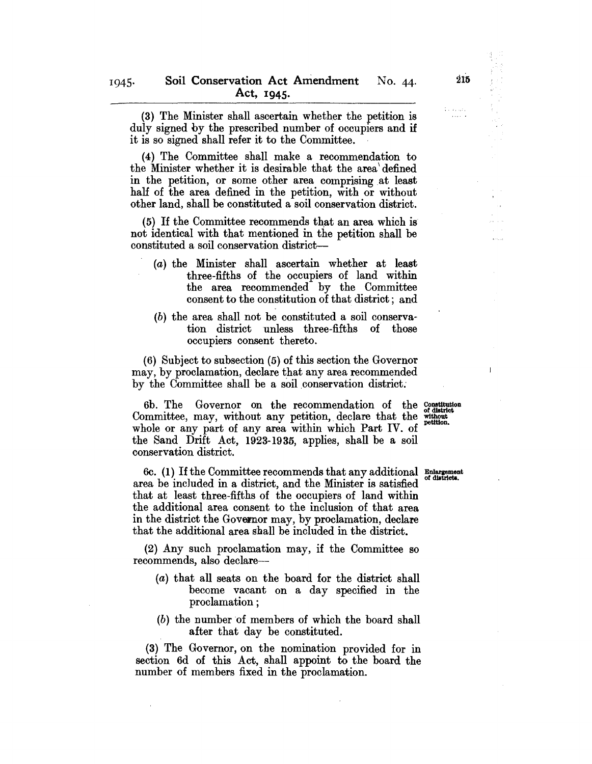(3) The Minister shall ascertain whether the petition is duly signed by the prescribed number of occupiers and if it is so signed shall refer it to the Committee.

(4) The Committee shall make a recommendation to the Minister whether it is desirable that the area \ defined in the petition, or some other area comprising at least half of the area defined in the petition, with or without other land, shall be constituted a soil conservation district.

 $(5)$  If the Committee recommends that an area which is not identical with that mentioned in the petition shall be constituted a soil conservation district-

- (a) the Minister shall ascertain whether at least three-fifths of the occupiers of land within the area recommended by the Committee consent to the constitution of that district; and
- $(b)$  the area shall not be constituted a soil conservation district unless three-fifths of those occupiers consent thereto.

(6) Subject to subsection (5) of this section the Governor may, by proclamation, declare that any area recommended by the Committee shall be a soil conservation district.

6b. The Governor on the recommendation of the Constitution Committee, may, without any petition, declare that the without whole or any part of any area within which Part IV. of the Sand Drift Act, 1923-1935, applies, shall be a soil conservation district.

6c. (1) If the Committee recommends that any additional Enlargement of districts. area be included in a district, and the Minister is satisfied that at least three-fifths of the occupiers of land within the additional area consent to the inclusion of that area in the district the Governor may, by proclamation, declare that the additional area shall be included in the district.

(2) Any such proclamation may, if the Committee so recommends, also declare-

- (a) that all seats on the board for the district shall become vacant on a day specified in the proclamation;
- (b) the number of members of which the board shall after that day be constituted.

(3) The Governor, on the nomination provided for in section 6d of this Act, shall appoint to the board the number of members fixed in the proclamation.

 $\mathbf{I}$ 

وفياء والأول<br>والمنتقل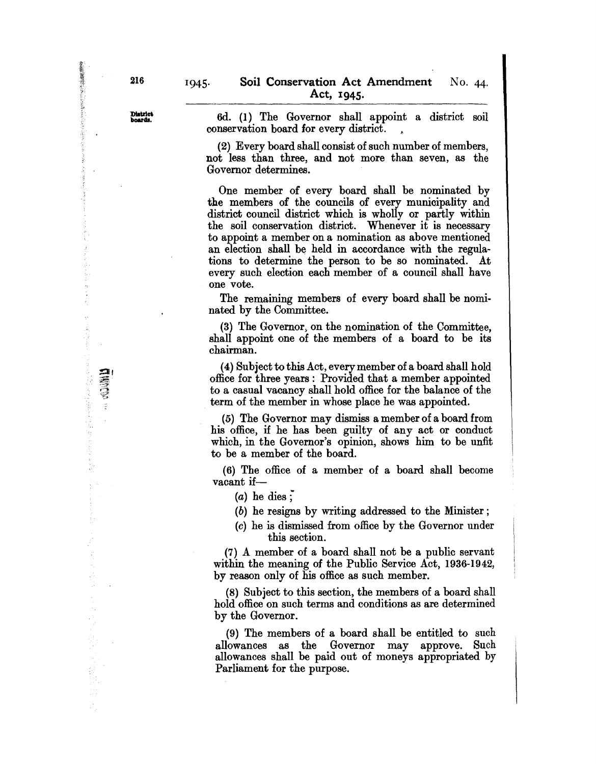District<br>boards.

6d. (1) The Governor shall appoint a district soil conservation board for every district.

(2) Every board shall consist of such number of members, not less than three, and not more than seven, as the Governor determines.

One member of every board shall be nominated by the members of the councils of every municipality and district council district which is wholly or partly within the soil conservation district. Whenever it is necessary to appoint a member on a nomination as above mentioned an election shall be held in accordance with the regulations to determine the person to be so nominated. At every such election each member of a council shall have one vote.

The remaining members of every board shall be nominated by the Committee.

(3) The Governor, on the nomination of the Committee, shall appoint one of the members of a board to be its chairman.

(4) Subject to this Act, every member of a board shall hold office for three years: Provided that a member appointed to a casual vacancy shall hold office for the balance of the term of the member in whose place he was appointed.

(5) The Governor may dismiss a member of a board from his office, if he has been guilty of any act or conduct which, in the Governor's opinion, shows him to be unfit to be a member of the board.

(6) The office of a member of a board shall become vacant if-

 $(a)$  he dies;

(b) he resigns by writing addressed to the Minister;

(c) he is dismissed from office by the Governor under this section.

(7) A member of a board shall not be a public servant within the meaning of the Public Service Act, 1936-1942, by reason only of his office as such member.

(8) Subject to this section, the members of a board shall hold office on such terms and conditions as are determined by the Governor.

(9) The members of a board shall be entitled to such allowances as the Governor may approve. Such allowances shall be paid out of moneys appropriated by Parliament for the purpose.

大変のおいて あいかん あいかい アクセス アクセス アクセス

š

**ELECTRIC SECTION**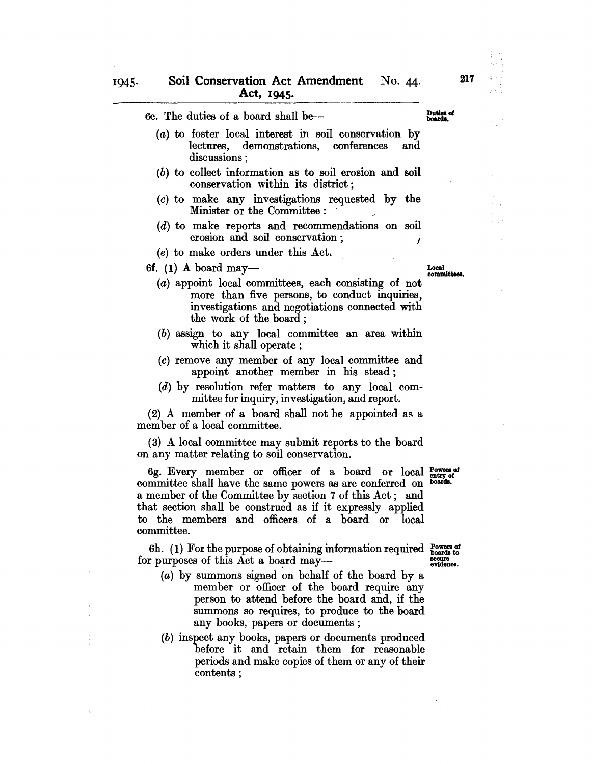| 6e. The duties of a board shall be—                                                                               |  |
|-------------------------------------------------------------------------------------------------------------------|--|
| (a) to foster local interest in soil conservation by<br>lectures, demonstrations, conferences and<br>discussions; |  |
| (b) to collect information as to soil erosion and soil<br>conservation within its district;                       |  |
| (c) to make any investigations requested by the<br>Minister or the Committee :                                    |  |
| $(d)$ to make reports and recommendations on soil<br>erosion and soil conservation;                               |  |
| (e) to make orders under this Act.                                                                                |  |
| 6f. $(1)$ A board may—<br>The complete to the complete problem considering                                        |  |

- (a) appoint local committees, each consisting of not more than five persons, to conduct inquiries, investigations and negotiations connected with the work of the board;
- (b) assign to any local committee an area within which it shall operate;
- (c) remove any member of any local committee and appoint another member in his stead;
- (d) by resolution refer matters to any local committee for inquiry, investigation, and report.

(2) A member of a board shall not be appointed as a member of a local committee.

(3) A local committee may submit reports to the board on any matter relating to soil conservation.

6g. Every member or officer of a board or local  $_{\text{entry of}}^{\text{Dovers}}$ committee shall have the same powers as are conferred on boards. a member of the Committee by section 7 of this Act; and that section shall be construed as if it expressly applied to the members and officers of a board or local committee.

6h. (1) For the purpose of obtaining information required  $\frac{P^{\text{overs of}}_{\text{o}}}{P^{\text{overs of}}_{\text{o}}}}$ for purposes of this Act a board maysecure<br>evidence.

- (a) by summons signed on behalf of the board by a member or officer of the board require any person to attend before the board and, if the summons so requires, to produce to the board any books, papers or documents;
- (b) inspect any books, papers or documents produced before it and retain them for reasonable periods and make copies of them or any of their contents;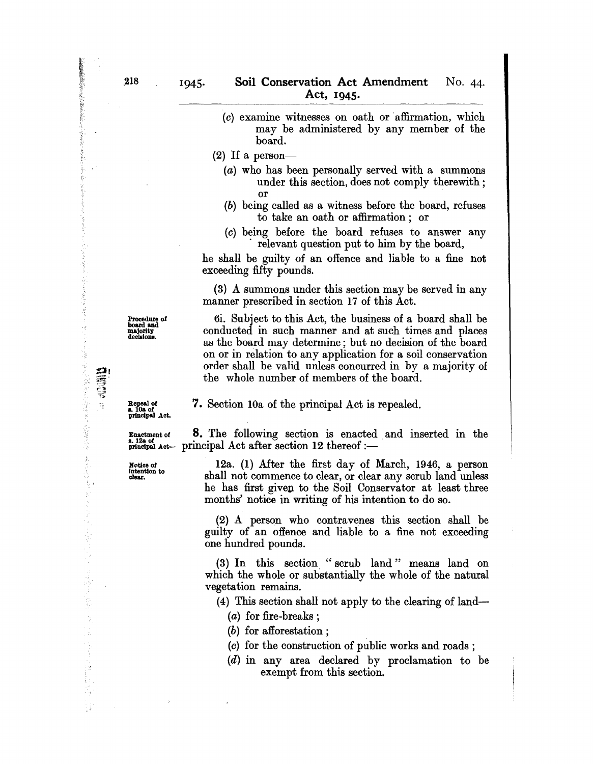- $(c)$  examine witnesses on oath or affirmation, which may be administered by any member of the board.
- (2) If a person-
	- (a) who has been personally served with a summons under this section, does not comply therewith; or
	- (b) being called as a witness before the board, refuses to take an oath or affirmation; or
	- (c) being before the board refuses to answer any . relevant question put to him by the board,

he shall be guilty of an offence and liable to a fine not exceeding fifty pounds.

(3) A summons under this section may be served in any manner prescribed in section 17 of this Act.

6i. Subject to this Act, the business of a board shall be conducted in such manner and at such times and places as the board may determine; but no decision of the board on or in relation to any application for a soil conservation order shall be valid unless concurred in by a majority of the whole number of members of the board.

Repeal of<br>s. 10a of<br>principal Act. 7. Section lOa of the principal Act is repealed.

Enactment of **8.** The following section is enacted and inserted in the  $_{\text{princtpal~Act}}^{\text{max}}$  act- principal Act after section 12 thereof:-

Notice of 12a. (1) After the first day of March,  $1946$ , a person intention to  $\frac{1}{2}$  and  $\frac{1}{2}$  and  $\frac{1}{2}$  and  $\frac{1}{2}$  and  $\frac{1}{2}$  and  $\frac{1}{2}$  and  $\frac{1}{2}$  and  $\frac{1}{2}$  and  $\frac{1}{2}$  and  $\frac{1}{2}$  and  $\$ Intention to the 11 I Islam 11 I Islam 11 I Islam 11 Islam 11 Islam 11 Islam 11 Islam 11 Islam 11 Islam 11 Islam 11 Islam 11 Islam 11 Islam 11 Islam 11 Islam 11 Islam 11 Islam 11 Islam 11 Islam 11 Islam 11 Islam 11 Islam 1 he has first given to the Soil Conservator at least three months' notice in writing of his intention to do so.

> (2) A person who contravenes this section shall be guilty of an offence and liable to a fine not exceeding one hundred pounds.

> (3) In this section." scrub land" means land on which the whole or substantially the whole of the natural vegetation remains.

(4) This section shall not apply to the clearing of land-

(a) for fire-breaks;

- (b) for afforestation;
- (c) for the construction of public works and roads;
- (d) in any area declared by proclamation to be exempt from this section.

Procedure of<br>board and<br>majority<br>decisions.

**BARRAHAMAS SERVICES** 

家人 嚴重等等等多少者 多重

大豆の毛 ţ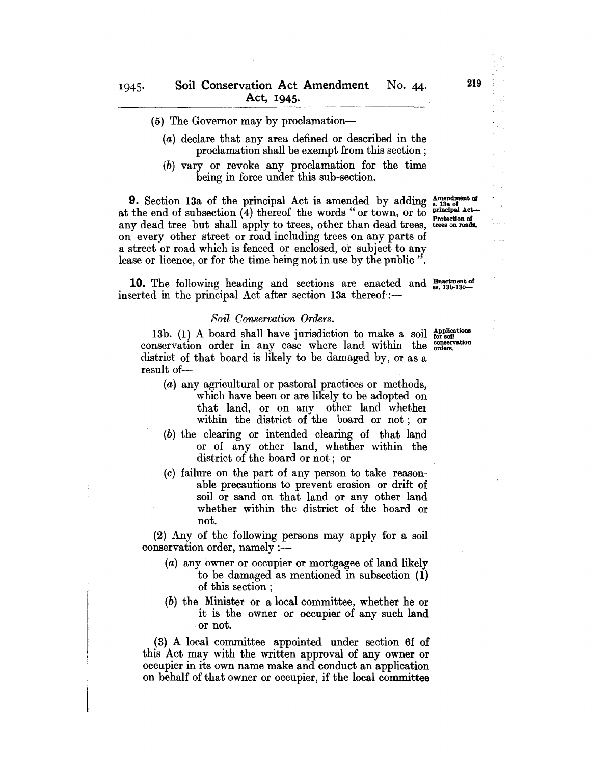- (5) The Governor may by proclamation-
	- $(a)$  declare that any area defined or described in the proclamation shall be exempt from this section;
	- (b) vary or revoke any proclamation for the time being in force under this sub-section.

**9.** Section 13a of the principal Act is amended by adding  $\frac{\text{Amendment of}}{\text{s. 13a of}}$ <br>the end of subsection (4) thereof the words "or town or to principal Actat the end of subsection  $(4)$  thereof the words "or town, or to principal Act-<br>any dead tree but shall apply to trees, other than dead trees, trees on roads. any dead tree but shall apply to trees, other than dead trees, on every other street or road including trees on any parts of a street or road which is fenced or enclosed, or subject to any lease or licence, or for the time being not in use by the public".

**10.** The following heading and sections are enacted and **Enactment** of inserted in the principal Act after section 13a thereof:-

### *80il Conservation Orders.*

13b. (1) A board shall have jurisdiction to make a soil  $_{\text{for soil}}^{\text{Applications}}$ conservation order in any case where land within the conservation district of that board is likely to be damaged by, or as a result of-

- (a) any agricultural or pastoral practices or methods, which have been or are likely to be adopted on that land, or on any other land whethel within the district of the board or not; or
- (b) the clearing or intended clearing of that land or of any other land, whether within the district of the board or not; or
- (c) failure on the part of any person to take reasonable precautions to prevent erosion or drift of soil or sand on that land or any other land whether within the district of the board or not.

(2) Any of the following persons may apply for a soil conservation order, namely :-

- (a) any owner or occupier or mortgagee of land likely to be damaged as mentioned in subsection (1) of this section ;
- (b) the Minister or a local committee, whether he or it is the owner or occupier of any such land ,or not.

(3) A local committee appointed under section 6£ of this Act may with the written approval of any owner or occupier in its own name make and conduct an application on behalf of that owner or occupier, if the local committee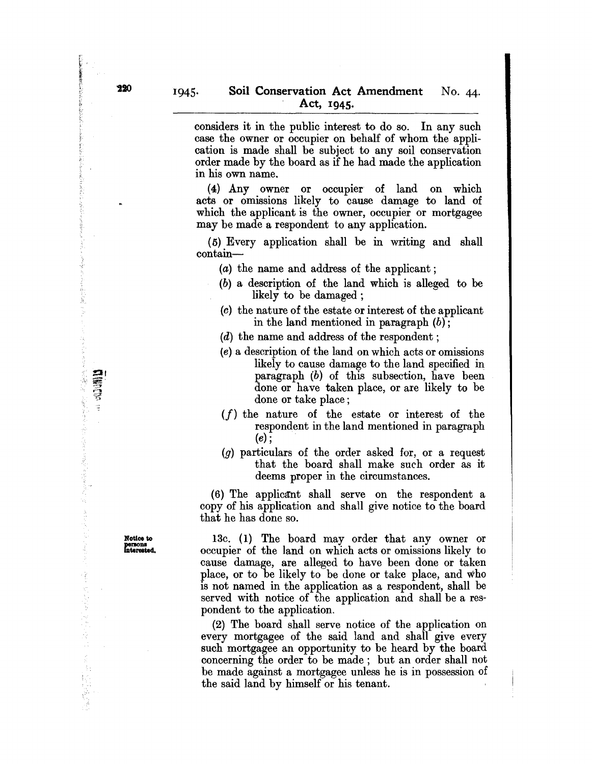considers it in the public interest to do so. In any such case the owner or occupier on behalf of whom the application is made shall be subject to any soil conservation order made by the board as if he had made the application in his own name.

(4) Any owner or occupier of land on which acts or omissions likely to cause damage to land of which the applicant is the owner, occupier or mortgagee may be made a respondent to any application.

(5) Every application shall be in writing and shall contain-

- (a) the name and address of the applicant;
- (b) a description of the land which is alleged to be likely to be damaged ;
- (c) the nature of the estate or interest of the applicant in the land mentioned in paragraph  $(b)$ ;
- $(d)$  the name and address of the respondent;
- (e) a description of the land on which acts or omissions likely to cause damage to the land specified in paragraph (b) of this subsection, have been done or have taken place, or are likely to be done or take place;
- $(f)$  the nature of the estate or interest of the respondent in the land mentioned in paragraph  $(e)$  ;
- (g) particulars of the order asked for, or a request that the board shall make such order as it deems proper in the circumstances.

 $(6)$  The applicant shall serve on the respondent a copy of his application and shall give notice to the board that he has done so.

13c. (1) The board may order that any owner or occupier of the land on which acts or omissions likely to cause damage, are alleged to have been done or taken place, or to be likely to be done or take place, and who is not named in the application as a respondent, shall be served with notice of the application and shall be a respondent to the application.

(2) The board shall serve notice of the application on every mortgagee of the said land and shall give every such mortgagee an opportunity to be heard by the board concerning the order to be made; but an order shall not be made against a mortgagee unless he is in possession of the said land by himself or his tenant.

Notice to persons<br>interested.

**Alganiz** 医鼻后的 医警察员

ことには、それに、そうなのが、こうに、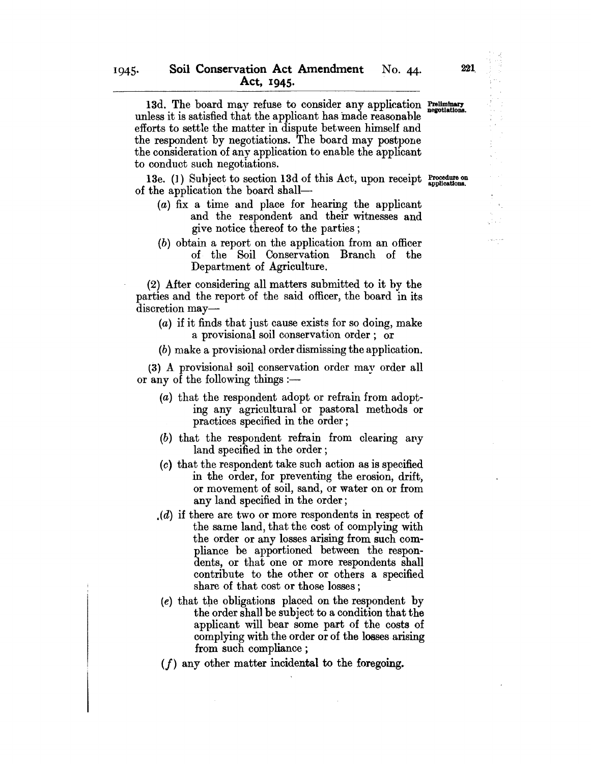13d. The board may refuse to consider any application Preliminary unless it is satisfied that the applicant has made reasonable efforts to settle the matter in dispute between himself and the respondent by negotiations. The board may postpone the consideration of any application to enable the applicant to conduct such negotiations.

13e. (1) Subject to section 13d of this Act, upon receipt  $\frac{Procedure}{\text{applications}}$ . of the application the board shall-

- (a) fix a time and place for hearing the applicant and the respondent and their witnesses and give notice thereof to the parties;
- (b) obtain a report on the application from an officer of the Soil Conservation Branch of the Department of Agriculture.

(2) After considering all matters submitted to it by the parties and the report of the said officer, the board in its discretion may-

- (a) if it finds that just cause exists for so doing, make a provisional soil conservation order; or
- (b) make a provisional order dismissing the application.

(3) A provisional soil conservation order may order all or any of the following things  $:$ 

- (a) that the respondent adopt or refrain from adopting any agricultural or pastoral methods or practices specified in the order;
- (b) that the respondent refrain from clearing any land specified in the order;
- (0) that the respondent take such action as is specified in the order, for preventing the erosion, drift, or movement of soil, sand, or water on or from any land specified in the order;
- $(d)$  if there are two or more respondents in respect of the same land, that the cost of complying with the order or any losses arising from such compliance be apportioned between the respondents, or that one or more respondents shall contribute to the other or others a specified share of that cost or those losses;
- $(e)$  that the obligations placed on the respondent by the order shall be subject to a condition that the applicant will bear some part of the costs of complying with the order or of the losses arising from such compliance;
- $(f)$  any other matter incidental to the foregoing.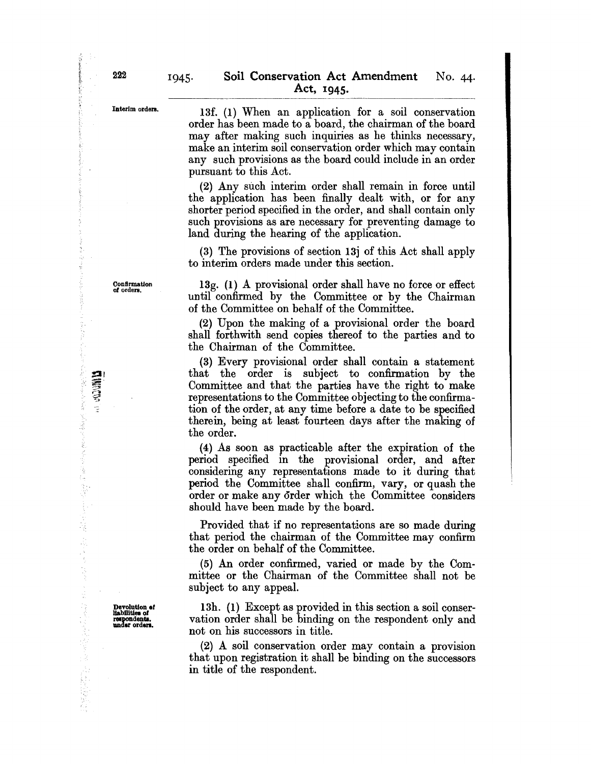### Interim orders.

13f. (1) When an application for a soil conservation order has been made to a board, the chairman of the board may after making such inquiries as he thinks necessary, make an interim soil conservation order which may contain any such provisions as the board could include in an order pursuant to this Act.

(2) Any such interim order shall remain in force until the application has been finally dealt with, or for any shorter period specified in the order, and shall contain only such provisions as are necessary for preventing damage to land during the hearing of the application.

(3) The provisions of section 13j of this Act shall apply to interim orders made under this section.

13g. (1) A provisional order shall have no force or effect until confirmed by the Committee or by the Chairman of the Committee on behalf of the Committee.

(2) Upon the making of a provisional order the board shall forthwith send copies thereof to the parties and to the Chairman of the Committee.

(3) Every provisional order shall contain a statement that the order is subject to confirmation by the Committee and that the parties have the right to make representations to the Committee objecting to the confirmation of the order, at any time before a date to be specified therein, being at least fourteen days after the making of the order.

(4) As soon as practicable after the expiration of the period specified in the provisional order, and after considering any representations made to it during that period the Committee shall confirm, vary, or quash the order or make any order which the Committee considers should have been made by the board.

Provided that if no representations are so made during that period the chairman of the Committee may confirm the order on behalf of the Committee.

(5) An order confirmed, varied or made by the Committee or the Chairman of the Committee shall not be subject to any appeaL

13h. (1) Except as provided in this section a soil conservation order shall be binding on the respondent only and not on his successors in title.

(2) A soil conservation order may contain a provision that upon registration it shall be binding on the successors in title of the respondent.

**Magazi** 

Burge and the fact  $\frac{1}{2}$ 

 $\begin{array}{ccc} & \vdots & \vdots & \vdots \\ & \vdots & \vdots & \vdots \\ & & \vdots & \vdots \\ & & & \vdots \\ \end{array}$ 

Confirmation of orders.

Devolution of<br>
liabilities of<br>
respondents.<br>
under orders.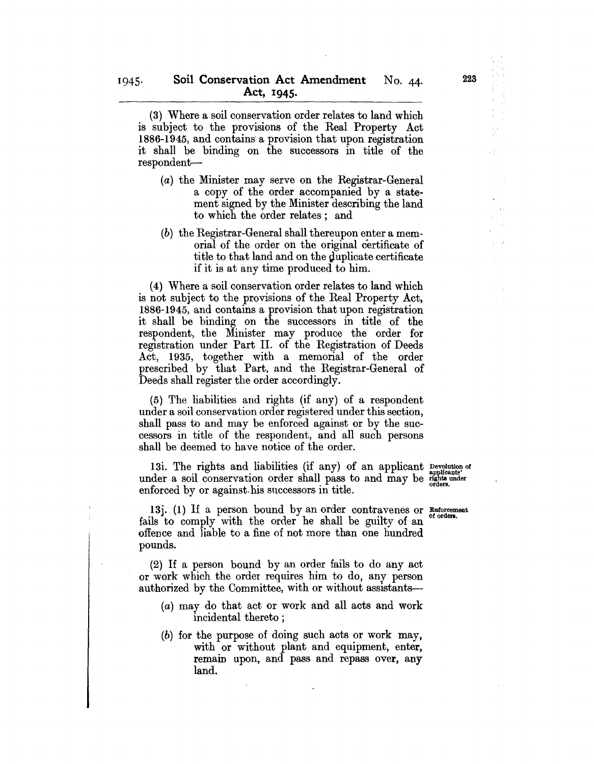(3) Where a soil conservation order relates to land which is subject to the provisions of the Real Property Act 1886-1945, and contains' a provision that upon registration it shall be binding on the successors in title of the respondent--

- (a) the Minister may serve on the Registrar-General a copy of the order accompanied by a statement signed by the Minister describing the land to which the order relates; and
- (b) the Registrar-General shall thereupon enter a memorial of the order on the original certificate of title to that land and on the duplicate certificate if it is at any time produced to him.

(4) Where a soil conservation order relates to land which is not subject to the provisions of the Heal Property Act, 1886-1945, and contains a provision that upon registration it shall be binding on the successors in title of the respondent, the Minister may produce the order for registration under Part II. of the Registration of Deeds Act, 1935, together with a memorial of the order prescribed by that Part, and the Registrar-General of Deeds shall register the order accordingly.

(5) The liabilities and rights (if any) of a respondent under a soil conservation order registered under this section, shall pass to and may be enforced against or by the successors in title of the respondent, and all such persons shall be deemed to have notice of the order.

13i. The rights and liabilities (if any) of an applicant Devolution of under a soil conservation order shall pass to and may be rights under enforced by or against his successors in title.

13j. (1) If a person bound by an order contravenes or Enforcement fails to comply with the order he shall be guilty of an offence and liable to a fine of not more than one hundred pounds.

(2) If a person bound by an order fails to do any act or work which the order requires him to do, any person authorized by the Committee, with or without assistants-

- (a) may do that act or work and all acts and work incidental thereto;
- (b) for the purpose of doing such acts or work may, with or without plant and equipment, enter, remain upon, and pass and repass over, any land.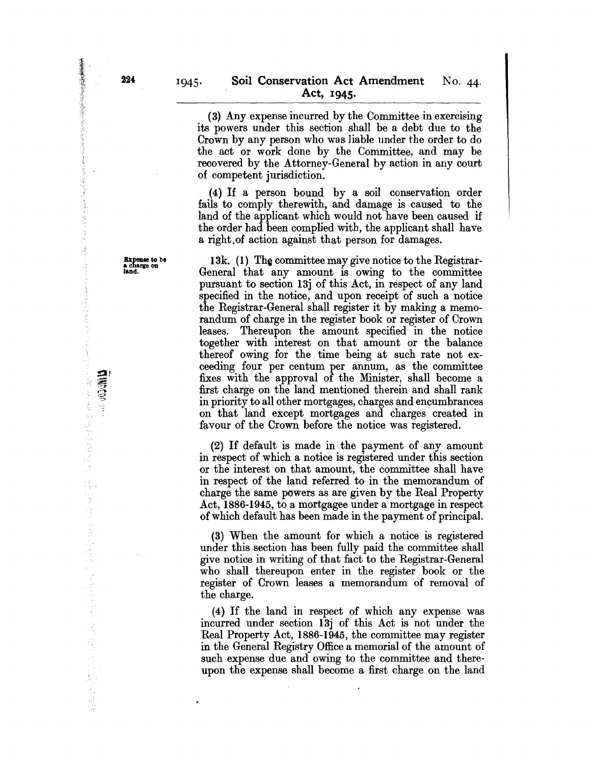(3) Any expense incurred by the Committee in exercising its powers under this section shall be a debt due to the Crown by any person who was liable under the order to do the act or work done by the Committee, and may be recovered by the Attorney-General by action in any court of competent jurisdiction.

(4) If a person bound by a soil conservation order falls to comply therewith, and damage is caused to the land of the applicant which would not have been caused if the order had been complied with, the applicant shall have a right.of action against that person for damages.

13k. (1) The committee may give notice to the Registrar-General that any amount is owing to the committee pursuant to section 13j of this Act, in respect of any land specified in the notice, and upon receipt of such a notice the Registrar-General shall register it by making a memorandum of charge in the register book or register of Crown leases. Thereupon the amount specified in the notice together with interest on that amount or the balance thereof owing for the time being at such rate not exceeding four per centum per annum, as the committee fixes with the approval of the Minister, shall become a first charge on the land mentioned therein and shall rank in priority to all other mortgages, charges and encumbrances on that land except mortgages and charges created in favour of the Crown before the notice was registered.

(2) If default is made in the payment of any amount in respect of which a notice is registered under this section or the interest on that amount, the committee shall have in respect of the land referred to in the memorandum of charge the same powers as are given by the Real Property Act, 1886-1945, to a mortgagee under a mortgage in respect of which default has been made in the payment of principal.

(3) When the amount for which a notice is registered under this section has been fully paid the committee shall give notice in writing of that fact to the Registrar-General who shall thereupon enter in the register book or the register of Crown leases a memorandum of removal of the charge.

(4) If the land in respect of which any expense was incurred under section 13j of this Act is not under the Real Property Act, 1886-1945, the committee may register in the General Registry Office a memorial of the amount of such expense due and owing to the committee and thereupon the expense shall become a first charge on the land

PARTICULAR PROPERTY

**Controller Controller Controller** 

ł

(本) そうかい サンチン しょうしゃ あってくら おん はんはなな

**NEWS** 

Expense to be a charge on land.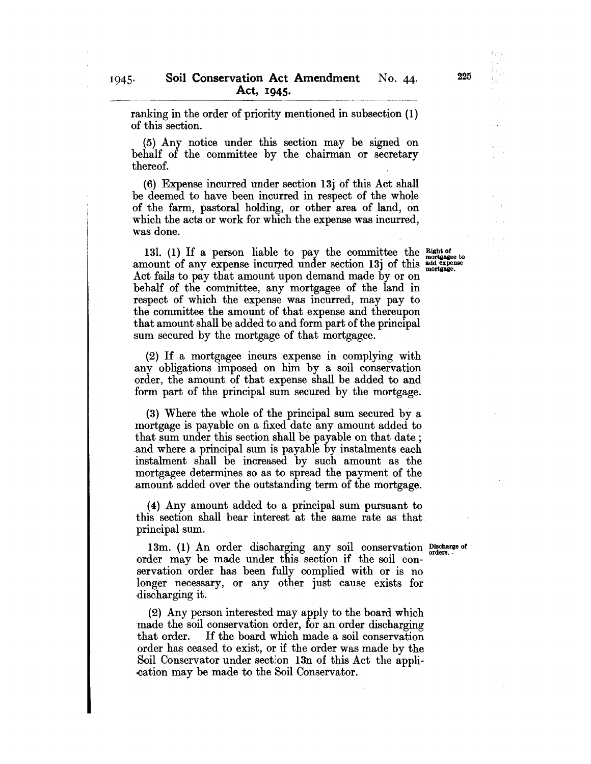ranking in the order of priority mentioned in subsection (1) of this section.

(5) Any notice under this section may be signed on behalf of the committee by the chairman or secretary thereof.

(6) Expense incurred under section 13j of this Act shall be deemed to have been incurred in respect of the whole of the farm, pastoral holding, or other area of land, on which the acts or work for which the expense was incurred, was done.

131. (1) If a person liable to pay the committee the  $\frac{Right\ of}{motase}$ amount of any expense incurred under section 13j of this  $^{4d}_{\text{mortrage}}$ Act fails to pay that amount upon demand made by or on behalf of the committee, any mortgagee of the land in respect of which the expense was incurred, may pay to the committee the amount of that expense and thereupon that amount shall be added to and form part of the principal sum secured by the mortgage of that mortgagee.

(2) If a mortgagee incurs expense in complying with .any obligations imposed on him by a soil conservation order, the amount of that expense shall be added to and form part of the principal sum secured by the mortgage.

(3) Where the whole of the principal sum secured by a mortgage is payable on a fixed date any amount added to that sum under this section shall be payable on that date; and where a principal sum is payable by instalments each instalment shall be increased by such amount as the mortgagee determines so as to spread the payment of the .amount added over the outstanding term of the mortgage.

(4) Any amount added to a principal sum pursuant to this section shall bear interest at the same rate as that principal sum.

13m. (1) An order discharging any soil conservation Discharge of order may be made under this section if the soil conservation order has been fully complied with or is no longer necessary, or any other just cause exists for discharging it.

(2) Any person interested may apply to the board which made the soil conservation order, for an order discharging that order. If the board which made a soil conservation order has ceased to exist, or if the order was made by the Soil Conservator under sect:on 13n of this Act the appli- -cation may be made to the Soil Conservator.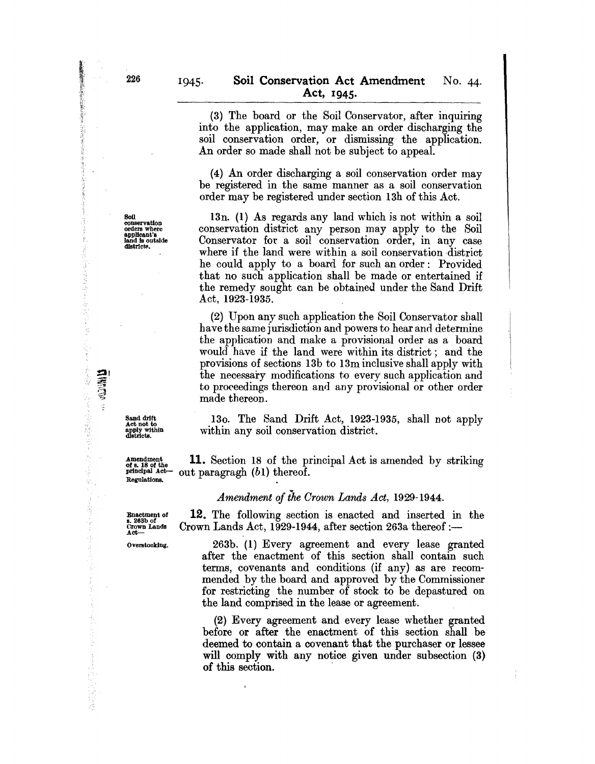(3) The board or the Soil Conservator, after inquiring into the application, may make an order discharging the soil conservation order, or dismissing the application. An order so made shall not be subject to appeal.

(4) An order discharging a soil conservation order may be registered in the same manner as a soil conservation order may be registered under section 13h of this Act.

13n. (1) As regards any land which is not withjn a soil conservation district any person may apply to the Soil Conservator for a soil conservation order, in any case where if the land were within a soil conservation district he could apply to a board for such an order: Provided that no such application shall be made or entertained if the remedy sought can be obtained under the Sand Drift Act, 1923-1935.

(2) Upon any such application the Soil Conservator shall have the same jurisdiction and powers to hear and determine the application and make a provisional order as a board would have if the land were within its district; and the provisions of sections 13b to 13m inclusive shall apply with the necessary modifications to every such application and to proceedings thereon and any provisional or other order made thereon.

130. The Sand Drift Act, 1923-1935, shall not apply within any soil conservation district.

Amendment of s. 18 of the principal Act is amended by striking principal Act  $\frac{11}{\text{optological} \text{ Act}}$  out paragragh (b1) thereof. out paragragh *(b1)* thereof.

### *Amendment of the Crown Lands Act, 1929-1944.*

Enactment of s. 263b of CroWD Lands Act--

Regulations.

Sand drift Act not to apply within districts.

> 12. The following section is enacted and inserted in the Crown Lands Act, 1929-1944, after section 263a thereof: $-$

Overstocking.

263b. (1) Every agreement and every lease granted after the enactment of this section shall contain such terms, covenants and conditions (if any) as are recommended by the board and approved by the Commissioner for restricting the number of stock to be depastured on the land comprised in the lease or agreement,

(2) Every agreement and every lease whether granted before or after the enactment of this section shall be deemed to contain a covenant that the purchaser or lessee will comply with any notice given under subsection (3) of this section.

'~.:

"接触" k

ang katalog Ŷ.

○ (1) (中国語) (中国語) (中国語)

ķ,

· 香港の海岸の電話を開き

Ã Q. ğ 高雪  $\frac{1}{2}$ 

**THE CONTROL** 

Soil conservation<br>orders where<br>applicant's<br>land is outside<br>districts.